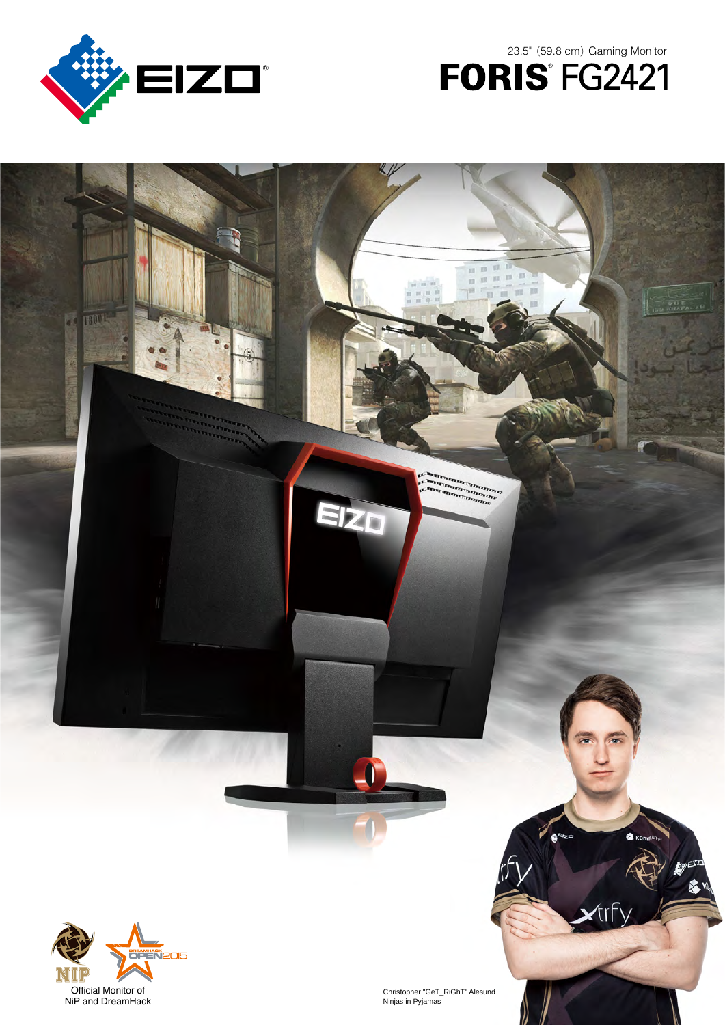

**TSOUL** 

ď



IN CHAPALLE

 $\mathbb{H}$  .  $\mathbb{H}$ 

Antonio Company

EIZO

 $(1, 1)$  $\mathbf{u}$ ū.



Christopher "GeT\_RiGhT" Alesund Ninjas in Pyjamas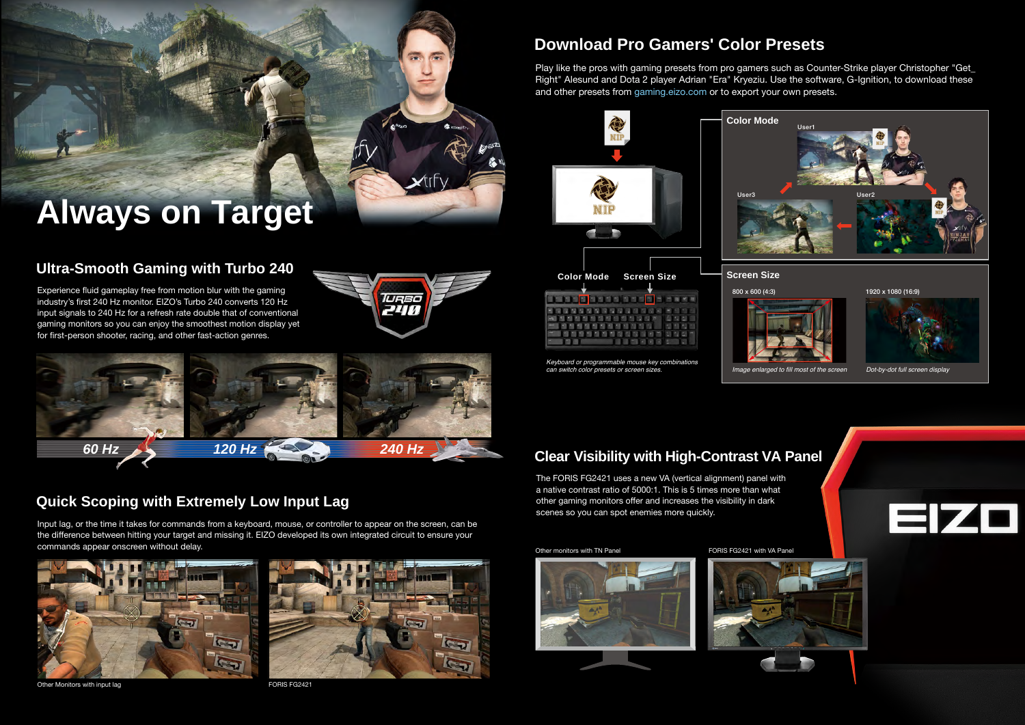# **Quick Scoping with Extremely Low Input Lag**

# **Ultra-Smooth Gaming with Turbo 240**

## **Download Pro Gamers' Color Presets**







Keyboard or programmable mouse key combinations



Experience fluid gameplay free from motion blur with the gaming industry's first 240 Hz monitor. EIZO's Turbo 240 converts 120 Hz input signals to 240 Hz for a refresh rate double that of conventional gaming monitors so you can enjoy the smoothest motion display yet for first-person shooter, racing, and other fast-action genres.



Input lag, or the time it takes for commands from a keyboard, mouse, or controller to appear on the screen, can be the difference between hitting your target and missing it. EIZO developed its own integrated circuit to ensure your commands appear onscreen without delay.



Other Monitors with input lag extending the state of the FORIS FG2421









**STATISTICS** 





Play like the pros with gaming presets from pro gamers such as Counter-Strike player Christopher "Get\_ Right" Alesund and Dota 2 player Adrian "Era" Kryeziu. Use the software, G-Ignition, to download these and other presets from [gaming.eizo.com](http://gaming.eizo.com/) or to export your own presets.

# **Always on Target**